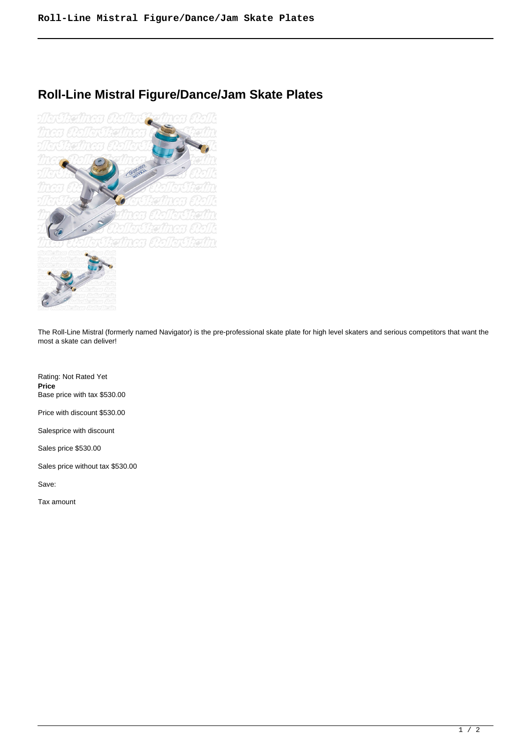# **Roll-Line Mistral Figure/Dance/Jam Skate Plates**



The Roll-Line Mistral (formerly named Navigator) is the pre-professional skate plate for high level skaters and serious competitors that want the most a skate can deliver!

Rating: Not Rated Yet **Price**  Base price with tax \$530.00

Price with discount \$530.00

Salesprice with discount

Sales price \$530.00

Sales price without tax \$530.00

Save:

Tax amount